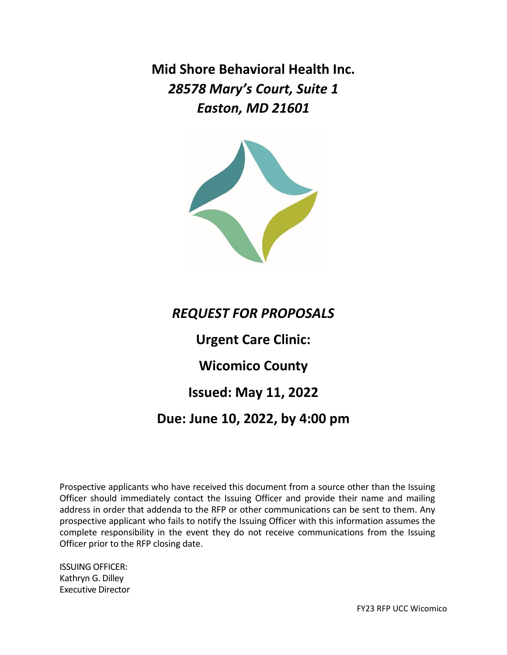**Mid Shore Behavioral Health Inc.** *28578 Mary's Court, Suite 1 Easton, MD 21601*



# *REQUEST FOR PROPOSALS*

**Urgent Care Clinic:**

**Wicomico County**

# **Issued: May 11, 2022**

## **Due: June 10, 2022, by 4:00 pm**

Prospective applicants who have received this document from a source other than the Issuing Officer should immediately contact the Issuing Officer and provide their name and mailing address in order that addenda to the RFP or other communications can be sent to them. Any prospective applicant who fails to notify the Issuing Officer with this information assumes the complete responsibility in the event they do not receive communications from the Issuing Officer prior to the RFP closing date.

ISSUING OFFICER: Kathryn G. Dilley Executive Director

FY23 RFP UCC Wicomico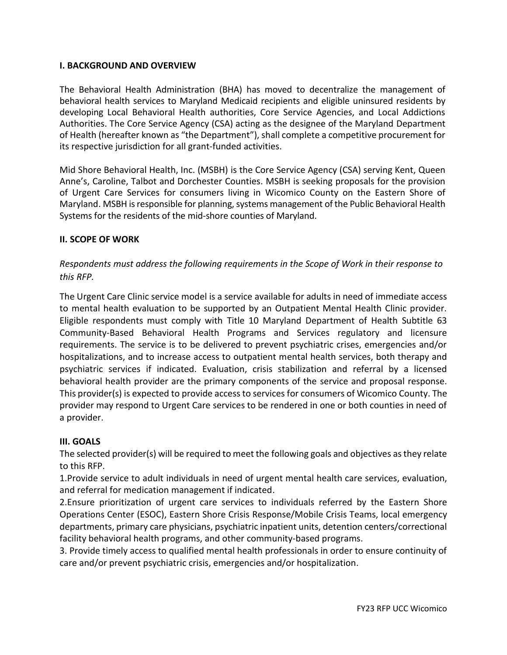#### **I. BACKGROUND AND OVERVIEW**

The Behavioral Health Administration (BHA) has moved to decentralize the management of behavioral health services to Maryland Medicaid recipients and eligible uninsured residents by developing Local Behavioral Health authorities, Core Service Agencies, and Local Addictions Authorities. The Core Service Agency (CSA) acting as the designee of the Maryland Department of Health (hereafter known as "the Department"), shall complete a competitive procurement for its respective jurisdiction for all grant-funded activities.

Mid Shore Behavioral Health, Inc. (MSBH) is the Core Service Agency (CSA) serving Kent, Queen Anne's, Caroline, Talbot and Dorchester Counties. MSBH is seeking proposals for the provision of Urgent Care Services for consumers living in Wicomico County on the Eastern Shore of Maryland. MSBH is responsible for planning, systems management of the Public Behavioral Health Systems for the residents of the mid-shore counties of Maryland.

#### **II. SCOPE OF WORK**

## *Respondents must address the following requirements in the Scope of Work in their response to this RFP.*

The Urgent Care Clinic service model is a service available for adults in need of immediate access to mental health evaluation to be supported by an Outpatient Mental Health Clinic provider. Eligible respondents must comply with Title 10 Maryland Department of Health Subtitle 63 Community-Based Behavioral Health Programs and Services regulatory and licensure requirements. The service is to be delivered to prevent psychiatric crises, emergencies and/or hospitalizations, and to increase access to outpatient mental health services, both therapy and psychiatric services if indicated. Evaluation, crisis stabilization and referral by a licensed behavioral health provider are the primary components of the service and proposal response. This provider(s) is expected to provide access to services for consumers of Wicomico County. The provider may respond to Urgent Care services to be rendered in one or both counties in need of a provider.

#### **III. GOALS**

The selected provider(s) will be required to meet the following goals and objectives as they relate to this RFP.

1.Provide service to adult individuals in need of urgent mental health care services, evaluation, and referral for medication management if indicated.

2.Ensure prioritization of urgent care services to individuals referred by the Eastern Shore Operations Center (ESOC), Eastern Shore Crisis Response/Mobile Crisis Teams, local emergency departments, primary care physicians, psychiatric inpatient units, detention centers/correctional facility behavioral health programs, and other community-based programs.

3. Provide timely access to qualified mental health professionals in order to ensure continuity of care and/or prevent psychiatric crisis, emergencies and/or hospitalization.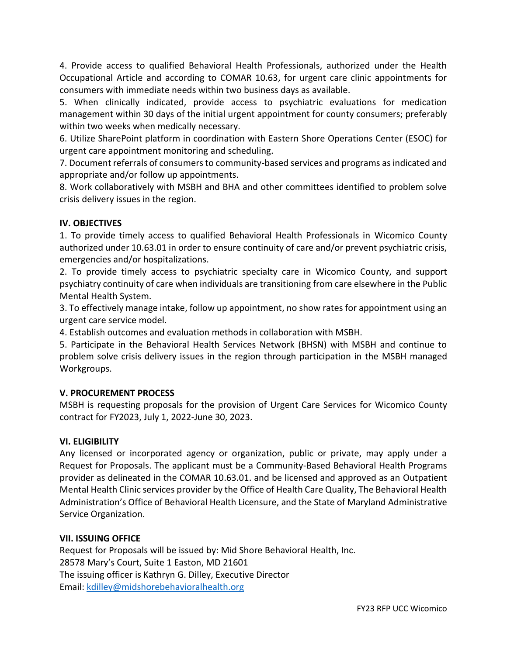4. Provide access to qualified Behavioral Health Professionals, authorized under the Health Occupational Article and according to COMAR 10.63, for urgent care clinic appointments for consumers with immediate needs within two business days as available.

5. When clinically indicated, provide access to psychiatric evaluations for medication management within 30 days of the initial urgent appointment for county consumers; preferably within two weeks when medically necessary.

6. Utilize SharePoint platform in coordination with Eastern Shore Operations Center (ESOC) for urgent care appointment monitoring and scheduling.

7. Document referrals of consumers to community-based services and programs as indicated and appropriate and/or follow up appointments.

8. Work collaboratively with MSBH and BHA and other committees identified to problem solve crisis delivery issues in the region.

## **IV. OBJECTIVES**

1. To provide timely access to qualified Behavioral Health Professionals in Wicomico County authorized under 10.63.01 in order to ensure continuity of care and/or prevent psychiatric crisis, emergencies and/or hospitalizations.

2. To provide timely access to psychiatric specialty care in Wicomico County, and support psychiatry continuity of care when individuals are transitioning from care elsewhere in the Public Mental Health System.

3. To effectively manage intake, follow up appointment, no show rates for appointment using an urgent care service model.

4. Establish outcomes and evaluation methods in collaboration with MSBH.

5. Participate in the Behavioral Health Services Network (BHSN) with MSBH and continue to problem solve crisis delivery issues in the region through participation in the MSBH managed Workgroups.

## **V. PROCUREMENT PROCESS**

MSBH is requesting proposals for the provision of Urgent Care Services for Wicomico County contract for FY2023, July 1, 2022-June 30, 2023.

## **VI. ELIGIBILITY**

Any licensed or incorporated agency or organization, public or private, may apply under a Request for Proposals. The applicant must be a Community-Based Behavioral Health Programs provider as delineated in the COMAR 10.63.01. and be licensed and approved as an Outpatient Mental Health Clinic services provider by the Office of Health Care Quality, The Behavioral Health Administration's Office of Behavioral Health Licensure, and the State of Maryland Administrative Service Organization.

## **VII. ISSUING OFFICE**

Request for Proposals will be issued by: Mid Shore Behavioral Health, Inc. 28578 Mary's Court, Suite 1 Easton, MD 21601 The issuing officer is Kathryn G. Dilley, Executive Director Email: [kdilley@midshorebehavioralhealth.org](mailto:kdilley@midshorebehavioralhealth.org)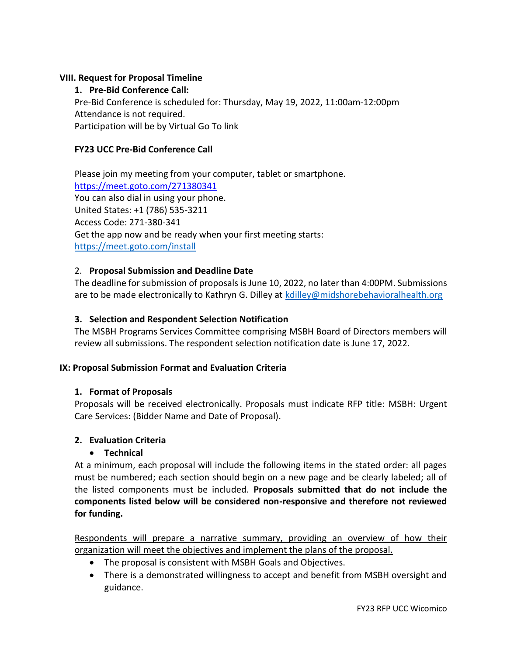#### **VIII. Request for Proposal Timeline**

**1. Pre-Bid Conference Call:**

Pre-Bid Conference is scheduled for: Thursday, May 19, 2022, 11:00am-12:00pm Attendance is not required. Participation will be by Virtual Go To link

### **FY23 UCC Pre-Bid Conference Call**

Please join my meeting from your computer, tablet or smartphone. <https://meet.goto.com/271380341> You can also dial in using your phone. United States: +1 (786) 535-3211 Access Code: 271-380-341 Get the app now and be ready when your first meeting starts: <https://meet.goto.com/install>

#### 2. **Proposal Submission and Deadline Date**

The deadline for submission of proposals is June 10, 2022, no later than 4:00PM. Submissions are to be made electronically to Kathryn G. Dilley at [kdilley@midshorebehavioralhealth.org](mailto:kdilley@midshorebehavioralhealth.org)

#### **3. Selection and Respondent Selection Notification**

The MSBH Programs Services Committee comprising MSBH Board of Directors members will review all submissions. The respondent selection notification date is June 17, 2022.

#### **IX: Proposal Submission Format and Evaluation Criteria**

#### **1. Format of Proposals**

Proposals will be received electronically. Proposals must indicate RFP title: MSBH: Urgent Care Services: (Bidder Name and Date of Proposal).

#### **2. Evaluation Criteria**

#### • **Technical**

At a minimum, each proposal will include the following items in the stated order: all pages must be numbered; each section should begin on a new page and be clearly labeled; all of the listed components must be included. **Proposals submitted that do not include the components listed below will be considered non-responsive and therefore not reviewed for funding.**

Respondents will prepare a narrative summary, providing an overview of how their organization will meet the objectives and implement the plans of the proposal.

- The proposal is consistent with MSBH Goals and Objectives.
- There is a demonstrated willingness to accept and benefit from MSBH oversight and guidance.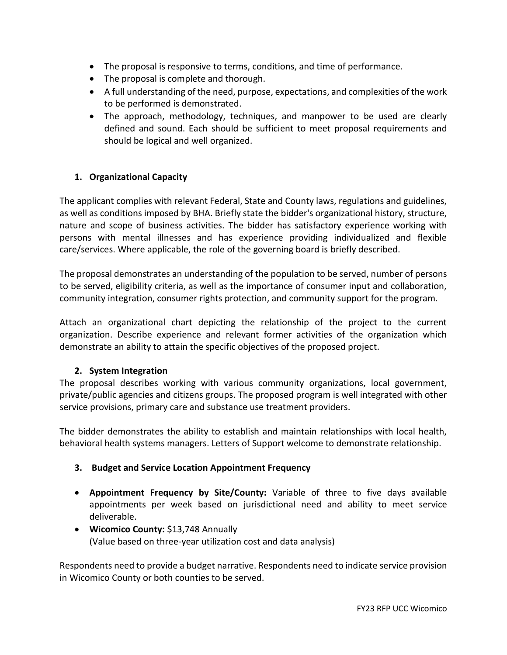- The proposal is responsive to terms, conditions, and time of performance.
- The proposal is complete and thorough.
- A full understanding of the need, purpose, expectations, and complexities of the work to be performed is demonstrated.
- The approach, methodology, techniques, and manpower to be used are clearly defined and sound. Each should be sufficient to meet proposal requirements and should be logical and well organized.

## **1. Organizational Capacity**

The applicant complies with relevant Federal, State and County laws, regulations and guidelines, as well as conditions imposed by BHA. Briefly state the bidder's organizational history, structure, nature and scope of business activities. The bidder has satisfactory experience working with persons with mental illnesses and has experience providing individualized and flexible care/services. Where applicable, the role of the governing board is briefly described.

The proposal demonstrates an understanding of the population to be served, number of persons to be served, eligibility criteria, as well as the importance of consumer input and collaboration, community integration, consumer rights protection, and community support for the program.

Attach an organizational chart depicting the relationship of the project to the current organization. Describe experience and relevant former activities of the organization which demonstrate an ability to attain the specific objectives of the proposed project.

## **2. System Integration**

The proposal describes working with various community organizations, local government, private/public agencies and citizens groups. The proposed program is well integrated with other service provisions, primary care and substance use treatment providers.

The bidder demonstrates the ability to establish and maintain relationships with local health, behavioral health systems managers. Letters of Support welcome to demonstrate relationship.

## **3. Budget and Service Location Appointment Frequency**

- **Appointment Frequency by Site/County:** Variable of three to five days available appointments per week based on jurisdictional need and ability to meet service deliverable.
- **Wicomico County:** \$13,748 Annually (Value based on three-year utilization cost and data analysis)

Respondents need to provide a budget narrative. Respondents need to indicate service provision in Wicomico County or both counties to be served.